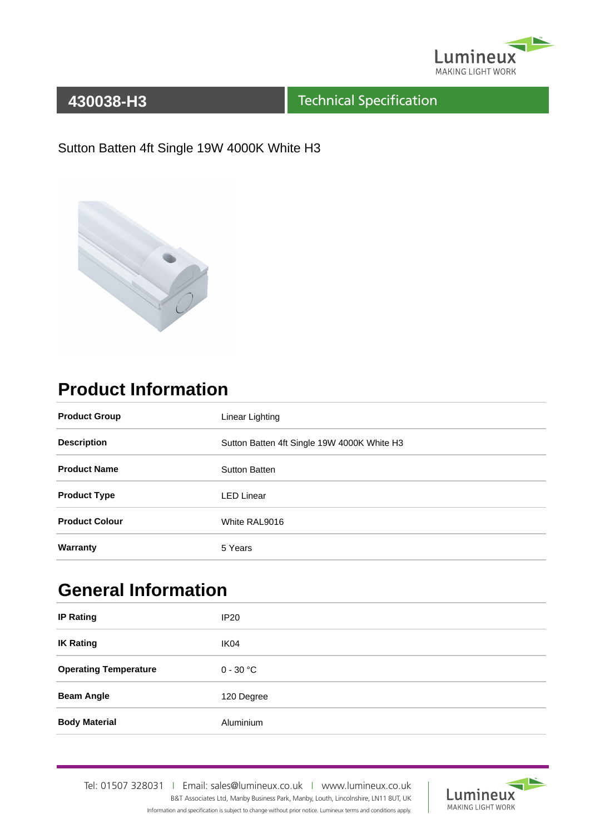

#### Technical Specification

#### Sutton Batten 4ft Single 19W 4000K White H3



# **Product Information**

| <b>Product Group</b>  | Linear Lighting                             |  |
|-----------------------|---------------------------------------------|--|
| <b>Description</b>    | Sutton Batten 4ft Single 19W 4000K White H3 |  |
| <b>Product Name</b>   | Sutton Batten                               |  |
| <b>Product Type</b>   | <b>LED Linear</b>                           |  |
| <b>Product Colour</b> | White RAL9016                               |  |
| Warranty              | 5 Years                                     |  |

## **General Information**

| <b>IP Rating</b>             | <b>IP20</b>      |
|------------------------------|------------------|
| <b>IK Rating</b>             | IK <sub>04</sub> |
| <b>Operating Temperature</b> | $0 - 30$ °C      |
| <b>Beam Angle</b>            | 120 Degree       |
| <b>Body Material</b>         | Aluminium        |

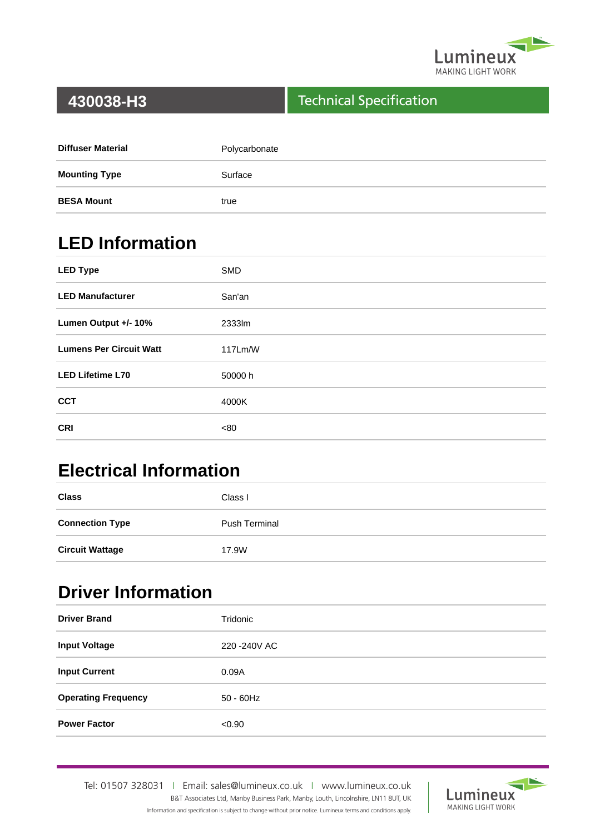

#### Technical Specification

| <b>Diffuser Material</b> | Polycarbonate |
|--------------------------|---------------|
| <b>Mounting Type</b>     | Surface       |
| <b>BESA Mount</b>        | true          |

# **LED Information**

| <b>LED Type</b>                | <b>SMD</b> |
|--------------------------------|------------|
| <b>LED Manufacturer</b>        | San'an     |
| Lumen Output +/- 10%           | 2333lm     |
| <b>Lumens Per Circuit Watt</b> | 117Lm/W    |
| <b>LED Lifetime L70</b>        | 50000 h    |
| <b>CCT</b>                     | 4000K      |
| <b>CRI</b>                     | <80        |

# **Electrical Information**

| <b>Class</b>           | Class I              |
|------------------------|----------------------|
| <b>Connection Type</b> | <b>Push Terminal</b> |
| <b>Circuit Wattage</b> | 17.9W                |

## **Driver Information**

| <b>Driver Brand</b>        | Tridonic      |
|----------------------------|---------------|
| <b>Input Voltage</b>       | 220 - 240 VAC |
| <b>Input Current</b>       | 0.09A         |
| <b>Operating Frequency</b> | $50 - 60$ Hz  |
| <b>Power Factor</b>        | < 0.90        |

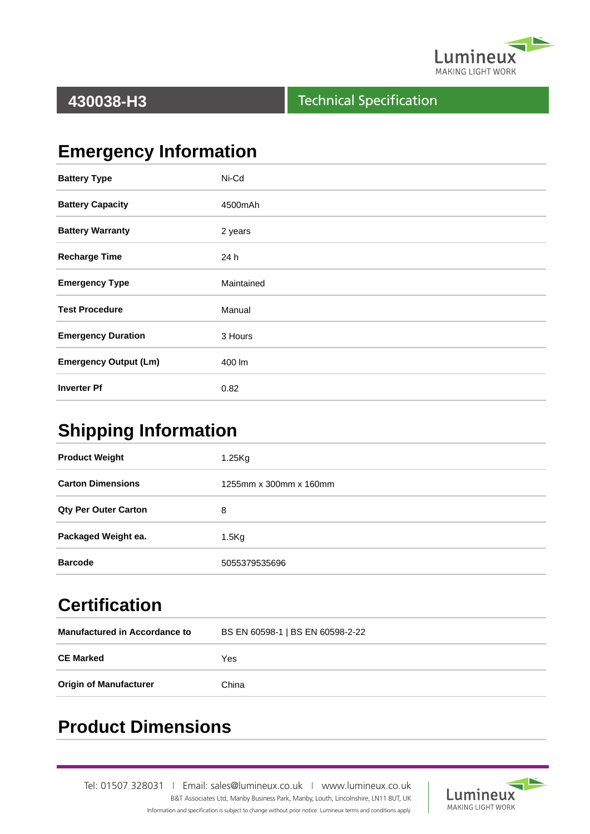

#### Technical Specification

# **Emergency Information**

| <b>Battery Type</b>          | Ni-Cd      |
|------------------------------|------------|
| <b>Battery Capacity</b>      | 4500mAh    |
| <b>Battery Warranty</b>      | 2 years    |
| <b>Recharge Time</b>         | 24 h       |
| <b>Emergency Type</b>        | Maintained |
| <b>Test Procedure</b>        | Manual     |
| <b>Emergency Duration</b>    | 3 Hours    |
| <b>Emergency Output (Lm)</b> | 400 lm     |
| <b>Inverter Pf</b>           | 0.82       |

#### **Shipping Information**

| $1.25$ Kg              |  |
|------------------------|--|
| 1255mm x 300mm x 160mm |  |
| 8                      |  |
| $1.5$ Kg               |  |
| 5055379535696          |  |
|                        |  |

# **Certification**

| <b>Manufactured in Accordance to</b> | BS EN 60598-1   BS EN 60598-2-22 |  |
|--------------------------------------|----------------------------------|--|
| <b>CE Marked</b>                     | Yes                              |  |
| <b>Origin of Manufacturer</b>        | China                            |  |

## **Product Dimensions**

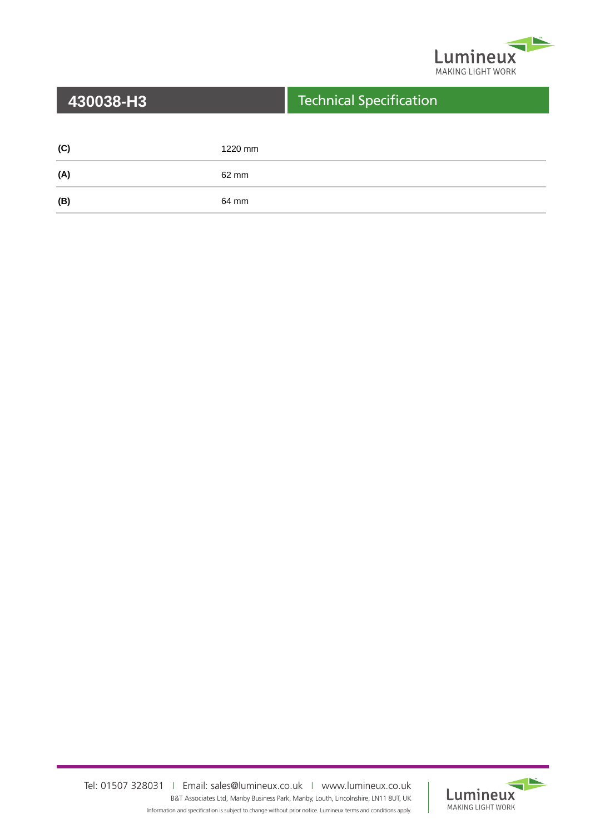

| 430038-H3 |         | <b>Technical Specification</b> |
|-----------|---------|--------------------------------|
|           |         |                                |
| (C)       | 1220 mm |                                |
| (A)       | 62 mm   |                                |
| (B)       | 64 mm   |                                |